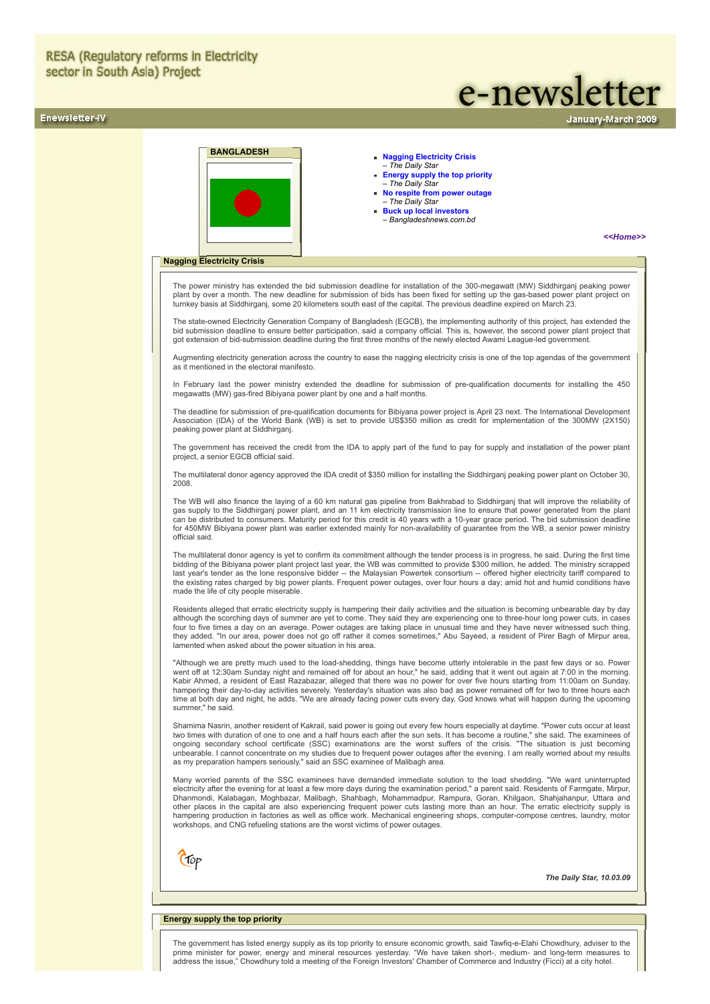## Enewsletter-IV

# e-newsletter

**BANGLADESH [Nagging Electricity Crisis](#page-0-0)** 

# – *The Daily Star*

- **[Energy supply the top priority](#page-0-1)**  *The Daily Star*
- **[No respite from power outage](#page-1-0)** – *The Daily Star*
- **[Buck up local investors](#page-1-1)** – *Bangladeshnews.com.bd*

*[<<Home>>](file:///D:/KSH/Websites/RESA/RESA-Enews-IV.htm)*

anuary-March 2009

## <span id="page-0-0"></span>**Nagging Electricity Crisis**

The power ministry has extended the bid submission deadline for installation of the 300-megawatt (MW) Siddhirganj peaking power plant by over a month. The new deadline for submission of bids has been fixed for setting up the gas-based power plant project on turnkey basis at Siddhirganj, some 20 kilometers south east of the capital. The previous deadline expired on March 23.

The state-owned Electricity Generation Company of Bangladesh (EGCB), the implementing authority of this project, has extended the bid submission deadline to ensure better participation, said a company official. This is, however, the second power plant project that got extension of bid-submission deadline during the first three months of the newly elected Awami League-led government.

Augmenting electricity generation across the country to ease the nagging electricity crisis is one of the top agendas of the government as it mentioned in the electoral manifesto.

In February last the power ministry extended the deadline for submission of pre-qualification documents for installing the 450 megawatts (MW) gas-fired Bibiyana power plant by one and a half months.

The deadline for submission of pre-qualification documents for Bibiyana power project is April 23 next. The International Development Association (IDA) of the World Bank (WB) is set to provide US\$350 million as credit for implementation of the 300MW (2X150) peaking power plant at Siddhirganj.

The government has received the credit from the IDA to apply part of the fund to pay for supply and installation of the power plant project, a senior EGCB official said.

The multilateral donor agency approved the IDA credit of \$350 million for installing the Siddhirganj peaking power plant on October 30, 2008.

The WB will also finance the laying of a 60 km natural gas pipeline from Bakhrabad to Siddhirganj that will improve the reliability of gas supply to the Siddhirganj power plant, and an 11 km electricity transmission line to ensure that power generated from the plant<br>can be distributed to consumers. Maturity period for this credit is 40 years with a 10-yea for 450MW Bibiyana power plant was earlier extended mainly for non-availability of guarantee from the WB, a senior power ministry official said.

The multilateral donor agency is yet to confirm its commitment although the tender process is in progress, he said. During the first time bidding of the Bibiyana power plant project last year, the WB was committed to provide \$300 million, he added. The ministry scrapped<br>last year's tender as the lone responsive bidder -- the Malaysian Powertek consortium - the existing rates charged by big power plants. Frequent power outages, over four hours a day; amid hot and humid conditions have made the life of city people miserable.

Residents alleged that erratic electricity supply is hampering their daily activities and the situation is becoming unbearable day by day although the scorching days of summer are yet to come. They said they are experiencing one to three-hour long power cuts, in cases four to five times a day on an average. Power outages are taking place in unusual time and they have never witnessed such thing,<br>they added. "In our area, power does not go off rather it comes sometimes," Abu Sayeed, a res lamented when asked about the power situation in his area.

"Although we are pretty much used to the load-shedding, things have become utterly intolerable in the past few days or so. Power went off at 12:30am Sunday night and remained off for about an hour," he said, adding that it went out again at 7:00 in the morning. Kabir Ahmed, a resident of East Razabazar, alleged that there was no power for over five hours starting from 11:00am on Sunday,<br>hampering their day-to-day activities severely. Yesterday's situation was also bad as power re time at both day and night, he adds. "We are already facing power cuts every day. God knows what will happen during the upcoming summer." he said

Shamima Nasrin, another resident of Kakrail, said power is going out every few hours especially at daytime. "Power cuts occur at least two times with duration of one to one and a half hours each after the sun sets. It has become a routine," she said. The examinees of<br>ongoing secondary school certificate (SSC) examinations are the worst suffers o unbearable. I cannot concentrate on my studies due to frequent power outages after the evening. I am really worried about my results as my preparation hampers seriously," said an SSC examinee of Malibagh area.

Many worried parents of the SSC examinees have demanded immediate solution to the load shedding. "We want uninterrupted electricity after the evening for at least a few more days during the examination period," a parent said. Residents of Farmgate, Mirpur, Dhanmondi, Kalabagan, Moghbazar, Malibagh, Shahbagh, Mohammadpur, Rampura, Goran, Khilgaon, Shahjahanpur, Uttara and<br>other places in the capital are also experiencing frequent power cuts lasting more than an hour. The erra hampering production in factories as well as office work. Mechanical engineering shops, computer-compose centres, laundry, motor workshops, and CNG refueling stations are the worst victims of power outages.



*The Daily Star, 10.03.09*

## <span id="page-0-1"></span>**Energy supply the top priority**

The government has listed energy supply as its top priority to ensure economic growth, said Tawfiq-e-Elahi Chowdhury, adviser to the prime minister for power, energy and mineral resources yesterday. "We have taken short-, medium- and long-term measures to address the issue," Chowdhury told a meeting of the Foreign Investors' Chamber of Commerce and Industry (Ficci) at a city hotel.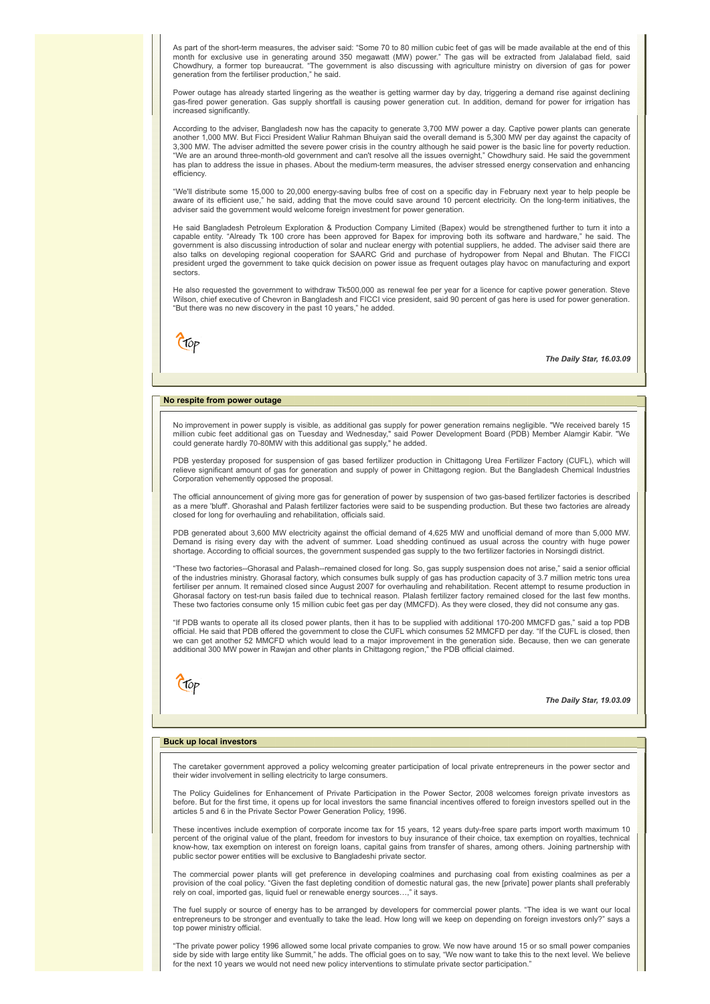As part of the short-term measures, the adviser said: "Some 70 to 80 million cubic feet of gas will be made available at the end of this month for exclusive use in generating around 350 megawatt (MW) power." The gas will be extracted from Jalalabad field, said<br>Chowdhury, a former top bureaucrat. "The government is also discussing with agriculture ministry o generation from the fertiliser production," he said.

Power outage has already started lingering as the weather is getting warmer day by day, triggering a demand rise against declining gas-fired power generation. Gas supply shortfall is causing power generation cut. In addition, demand for power for irrigation has increased significantly.

According to the adviser, Bangladesh now has the capacity to generate 3,700 MW power a day. Captive power plants can generate another 1,000 MW. But Ficci President Waliur Rahman Bhuiyan said the overall demand is 5,300 MW per day against the capacity of 3,300 MW. The adviser admitted the severe power crisis in the country although he said power is the basic line for poverty reduction. "We are an around three-month-old government and can't resolve all the issues overnight," Chowdhury said. He said the government has plan to address the issue in phases. About the medium-term measures, the adviser stressed energy conservation and enhancing efficiency.

"We'll distribute some 15,000 to 20,000 energy-saving bulbs free of cost on a specific day in February next year to help people be aware of its efficient use," he said, adding that the move could save around 10 percent electricity. On the long-term initiatives, the adviser said the government would welcome foreign investment for power generation.

He said Bangladesh Petroleum Exploration & Production Company Limited (Bapex) would be strengthened further to turn it into a capable entity. "Already Tk 100 crore has been approved for Bapex for improving both its software and hardware," he said. The government is also discussing introduction of solar and nuclear energy with potential suppliers, he added. The adviser said there are also talks on developing regional cooperation for SAARC Grid and purchase of hydropower from Nepal and Bhutan. The FICCI president urged the government to take quick decision on power issue as frequent outages play havoc on manufacturing and export sectors.

He also requested the government to withdraw Tk500,000 as renewal fee per year for a licence for captive power generation. Steve Wilson, chief executive of Chevron in Bangladesh and FICCI vice president, said 90 percent of gas here is used for power generation. "But there was no new discovery in the past 10 years," he added.

Crop

*The Daily Star, 16.03.09*

## <span id="page-1-0"></span>**No respite from power outage**

No improvement in power supply is visible, as additional gas supply for power generation remains negligible. "We received barely 15 million cubic feet additional gas on Tuesday and Wednesday," said Power Development Board (PDB) Member Alamgir Kabir. "We<br>could generate hardly 70-80MW with this additional gas supply," he added.

PDB yesterday proposed for suspension of gas based fertilizer production in Chittagong Urea Fertilizer Factory (CUFL), which will relieve significant amount of gas for generation and supply of power in Chittagong region. But the Bangladesh Chemical Industries Corporation vehemently opposed the proposal.

The official announcement of giving more gas for generation of power by suspension of two gas-based fertilizer factories is described<br>as a mere 'bluff'. Ghorashal and Palash fertilizer factories were said to be suspending closed for long for overhauling and rehabilitation, officials said.

PDB generated about 3,600 MW electricity against the official demand of 4,625 MW and unofficial demand of more than 5,000 MW. Demand is rising every day with the advent of summer. Load shedding continued as usual across the country with huge power shortage. According to official sources, the government suspended gas supply to the two fertilizer factories in Norsingdi district.

"These two factories--Ghorasal and Palash--remained closed for long. So, gas supply suspension does not arise," said a senior official of the industries ministry. Ghorasal factory, which consumes bulk supply of gas has production capacity of 3.7 million metric tons urea<br>fertiliser per annum. It remained closed since August 2007 for overhauling and rehabil Ghorasal factory on test-run basis failed due to technical reason. Plalash fertilizer factory remained closed for the last few months. These two factories consume only 15 million cubic feet gas per day (MMCFD). As they were closed, they did not consume any gas.

"If PDB wants to operate all its closed power plants, then it has to be supplied with additional 170-200 MMCFD gas," said a top PDB official. He said that PDB offered the government to close the CUFL which consumes 52 MMCFD per day. "If the CUFL is closed, then we can get another 52 MMCFD which would lead to a major improvement in the generation side. Because, then we can generate additional 300 MW power in Rawjan and other plants in Chittagong region," the PDB official claimed.

Ctop

*The Daily Star, 19.03.09*

## <span id="page-1-1"></span>**Buck up local investors**

The caretaker government approved a policy welcoming greater participation of local private entrepreneurs in the power sector and their wider involvement in selling electricity to large consumers.

The Policy Guidelines for Enhancement of Private Participation in the Power Sector, 2008 welcomes foreign private investors as before. But for the first time, it opens up for local investors the same financial incentives offered to foreign investors spelled out in the articles 5 and 6 in the Private Sector Power Generation Policy, 1996.

These incentives include exemption of corporate income tax for 15 years, 12 years duty-free spare parts import worth maximum 10 percent of the original value of the plant, freedom for investors to buy insurance of their choice, tax exemption on royalties, technical<br>know-how, tax exemption on interest on foreign loans, capital gains from transfer of public sector power entities will be exclusive to Bangladeshi private sector.

The commercial power plants will get preference in developing coalmines and purchasing coal from existing coalmines as per a provision of the coal policy. "Given the fast depleting condition of domestic natural gas, the new [private] power plants shall preferably rely on coal, imported gas, liquid fuel or renewable energy sources…," it says.

The fuel supply or source of energy has to be arranged by developers for commercial power plants. "The idea is we want our local entrepreneurs to be stronger and eventually to take the lead. How long will we keep on depending on foreign investors only?" says a top power ministry official.

"The private power policy 1996 allowed some local private companies to grow. We now have around 15 or so small power companies<br>side by side with large entity like Summit," he adds. The official goes on to say, "We now want for the next 10 years we would not need new policy interventions to stimulate private sector participation."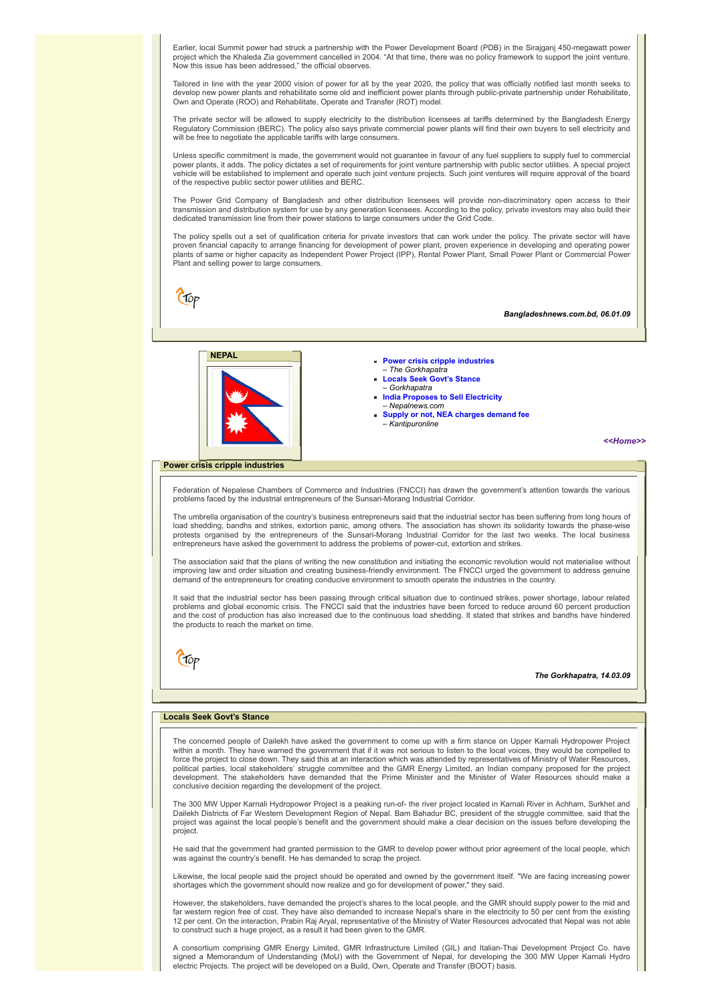Earlier, local Summit power had struck a partnership with the Power Development Board (PDB) in the Sirajganj 450-megawatt power project which the Khaleda Zia government cancelled in 2004. "At that time, there was no policy framework to support the joint venture. Now this issue has been addressed," the official observes.

Tailored in line with the year 2000 vision of power for all by the year 2020, the policy that was officially notified last month seeks to develop new power plants and rehabilitate some old and inefficient power plants through public-private partnership under Rehabilitate, Own and Operate (ROO) and Rehabilitate, Operate and Transfer (ROT) model.

The private sector will be allowed to supply electricity to the distribution licensees at tariffs determined by the Bangladesh Energy Regulatory Commission (BERC). The policy also says private commercial power plants will find their own buyers to sell electricity and<br>will be free to negotiate the applicable tariffs with large consumers.

Unless specific commitment is made, the government would not guarantee in favour of any fuel suppliers to supply fuel to commercial power plants, it adds. The policy dictates a set of requirements for joint venture partnership with public sector utilities. A special project vehicle will be established to implement and operate such joint venture projects. Such joint ventures will require approval of the board of the respective public sector power utilities and BERC.

The Power Grid Company of Bangladesh and other distribution licensees will provide non-discriminatory open access to their transmission and distribution system for use by any generation licensees. According to the policy, private investors may also build their dedicated transmission line from their power stations to large consumers under the Grid Code.

The policy spells out a set of qualification criteria for private investors that can work under the policy. The private sector will have proven financial capacity to arrange financing for development of power plant, proven experience in developing and operating power plants of same or higher capacity as Independent Power Project (IPP), Rental Power Plant, Small Power Plant or Commercial Power Plant and selling power to large consumers.

Ctop

*Bangladeshnews.com.bd, 06.01.09*



- – *The Gorkhapatra*
- **[Locals Seek Govt's Stance](#page-2-1)**
- *Gorkhapatra*
- **[India Proposes to Sell Electricity](#page-3-0)**  – *Nepalnews.com*
- **[Supply or not, NEA charges demand fee](#page-3-1)** – *Kantipuronline*

*[<<Home>>](file:///D:/KSH/Websites/RESA/RESA-Enews-IV.htm)*

### <span id="page-2-0"></span>**Power crisis cripple industries**

Federation of Nepalese Chambers of Commerce and Industries (FNCCI) has drawn the government's attention towards the various problems faced by the industrial entrepreneurs of the Sunsari-Morang Industrial Corridor.

The umbrella organisation of the country's business entrepreneurs said that the industrial sector has been suffering from long hours of load shedding, bandhs and strikes, extortion panic, among others. The association has shown its solidarity towards the phase-wise protests organised by the entrepreneurs of the Sunsari-Morang Industrial Corridor for the last two weeks. The local business entrepreneurs have asked the government to address the problems of power-cut, extortion and strikes.

The association said that the plans of writing the new constitution and initiating the economic revolution would not materialise without improving law and order situation and creating business-friendly environment. The FNCCI urged the government to address genuine demand of the entrepreneurs for creating conducive environment to smooth operate the industries in the country.

It said that the industrial sector has been passing through critical situation due to continued strikes, power shortage, labour related<br>problems and global economic crisis. The FNCCI said that the industries have been forc and the cost of production has also increased due to the continuous load shedding. It stated that strikes and bandhs have hindered the products to reach the market on time.



#### *The Gorkhapatra, 14.03.09*

## <span id="page-2-1"></span>**Locals Seek Govt's Stance**

The concerned people of Dailekh have asked the government to come up with a firm stance on Upper Karnali Hydropower Project within a month. They have warned the government that if it was not serious to listen to the local voices, they would be compelled to force the project to close down. They said this at an interaction which was attended by representatives of Ministry of Water Resources, political parties, local stakeholders' struggle committee and the GMR Energy Limited, an Indian company proposed for the project development. The stakeholders have demanded that the Prime Minister and the Minister of Water Resources should make a conclusive decision regarding the development of the project.

The 300 MW Upper Karnali Hydropower Project is a peaking run-of- the river project located in Karnali River in Achham, Surkhet and Dailekh Districts of Far Western Development Region of Nepal. Bam Bahadur BC, president of the struggle committee, said that the project was against the local people's benefit and the government should make a clear decision on the issues before developing the project.

He said that the government had granted permission to the GMR to develop power without prior agreement of the local people, which was against the country's benefit. He has demanded to scrap the project.

Likewise, the local people said the project should be operated and owned by the government itself. "We are facing increasing power shortages which the government should now realize and go for development of power," they said.

However, the stakeholders, have demanded the project's shares to the local people, and the GMR should supply power to the mid and far western region free of cost. They have also demanded to increase Nepal's share in the electricity to 50 per cent from the existing<br>12 per cent. On the interaction, Prabin Raj Aryal, representative of the Ministry of Wa to construct such a huge project, as a result it had been given to the GMR.

A consortium comprising GMR Energy Limited, GMR Infrastructure Limited (GIL) and Italian-Thai Development Project Co. have signed a Memorandum of Understanding (MoU) with the Government of Nepal, for developing the 300 MW Upper Karnali Hydro electric Projects. The project will be developed on a Build, Own, Operate and Transfer (BOOT) basis.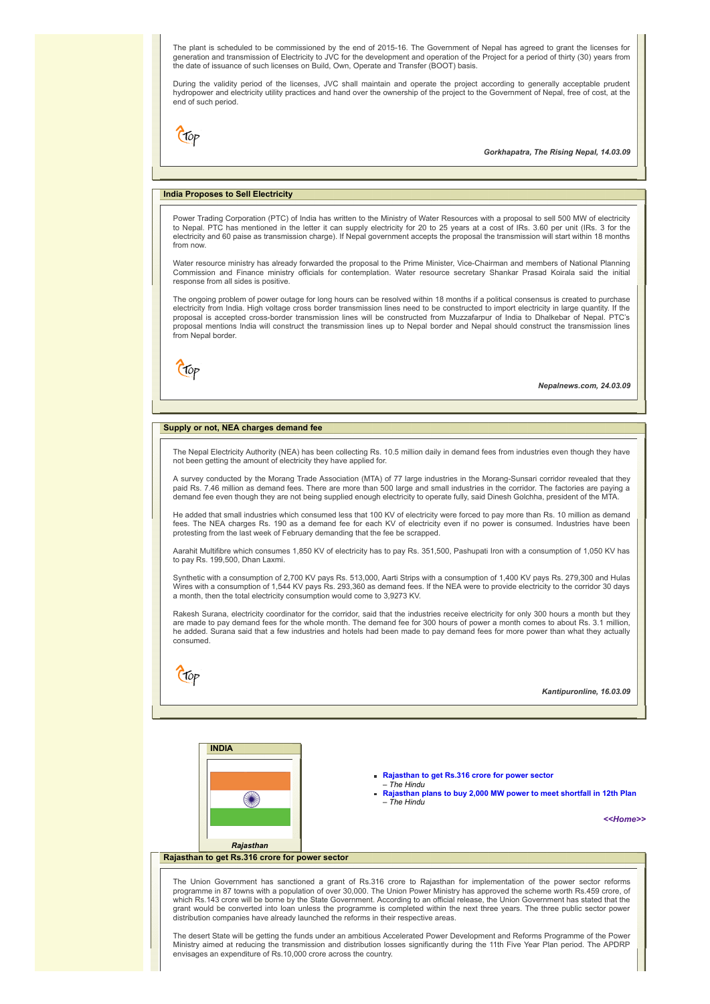The plant is scheduled to be commissioned by the end of 2015-16. The Government of Nepal has agreed to grant the licenses for generation and transmission of Electricity to JVC for the development and operation of the Project for a period of thirty (30) years from the date of issuance of such licenses on Build, Own, Operate and Transfer (BOOT) basis.

During the validity period of the licenses, JVC shall maintain and operate the project according to generally acceptable prudent hydropower and electricity utility practices and hand over the ownership of the project to the Government of Nepal, free of cost, at the end of such period.

Clop

*Gorkhapatra, The Rising Nepal, 14.03.09*

## <span id="page-3-0"></span>**India Proposes to Sell Electricity**

Power Trading Corporation (PTC) of India has written to the Ministry of Water Resources with a proposal to sell 500 MW of electricity<br>to Nepal. PTC has mentioned in the letter it can supply electricity for 20 to 25 years a electricity and 60 paise as transmission charge). If Nepal government accepts the proposal the transmission will start within 18 months from now.

Water resource ministry has already forwarded the proposal to the Prime Minister, Vice-Chairman and members of National Planning Commission and Finance ministry officials for contemplation. Water resource secretary Shankar Prasad Koirala said the initial response from all sides is positive.

The ongoing problem of power outage for long hours can be resolved within 18 months if a political consensus is created to purchase electricity from India. High voltage cross border transmission lines need to be constructed to import electricity in large quantity. If the proposal is accepted cross-border transmission lines will be constructed from Muzzafarpur of India to Dhalkebar of Nepal. PTC's proposal mentions India will construct the transmission lines up to Nepal border and Nepal should construct the transmission lines from Nepal border.

Ctop

*Nepalnews.com, 24.03.09*

### <span id="page-3-1"></span>**Supply or not, NEA charges demand fee**

The Nepal Electricity Authority (NEA) has been collecting Rs. 10.5 million daily in demand fees from industries even though they have not been getting the amount of electricity they have applied for.

A survey conducted by the Morang Trade Association (MTA) of 77 large industries in the Morang-Sunsari corridor revealed that they paid Rs. 7.46 million as demand fees. There are more than 500 large and small industries in the corridor. The factories are paying a demand fee even though they are not being supplied enough electricity to operate fully, said Dinesh Golchha, president of the MTA.

He added that small industries which consumed less that 100 KV of electricity were forced to pay more than Rs. 10 million as demand fees. The NEA charges Rs. 190 as a demand fee for each KV of electricity even if no power is consumed. Industries have been protesting from the last week of February demanding that the fee be scrapped.

Aarahit Multifibre which consumes 1,850 KV of electricity has to pay Rs. 351,500, Pashupati Iron with a consumption of 1,050 KV has to pay Rs. 199,500, Dhan Laxmi.

Synthetic with a consumption of 2,700 KV pays Rs. 513,000, Aarti Strips with a consumption of 1,400 KV pays Rs. 279,300 and Hulas<br>Wires with a consumption of 1,544 KV pays Rs. 293,360 as demand fees. If the NEA were to pro a month, then the total electricity consumption would come to 3,9273 KV.

Rakesh Surana, electricity coordinator for the corridor, said that the industries receive electricity for only 300 hours a month but they are made to pay demand fees for the whole month. The demand fee for 300 hours of power a month comes to about Rs. 3.1 million, he added. Surana said that a few industries and hotels had been made to pay demand fees for more power than what they actually consumed.

CTOP

*Kantipuronline, 16.03.09*

**INDIA** €₩ *Rajasthan*



– *The Hindu*

*[<<Home>>](file:///D:/KSH/Websites/RESA/RESA-Enews-IV.htm)*

## <span id="page-3-2"></span>**Rajasthan to get Rs.316 crore for power sector**

The Union Government has sanctioned a grant of Rs.316 crore to Rajasthan for implementation of the power sector reforms<br>programme in 87 towns with a population of over 30,000. The Union Power Ministry has approved the sche grant would be converted into loan unless the programme is completed within the next three years. The three public sector power distribution companies have already launched the reforms in their respective areas.

The desert State will be getting the funds under an ambitious Accelerated Power Development and Reforms Programme of the Power Ministry aimed at reducing the transmission and distribution losses significantly during the 11th Five Year Plan period. The APDRP envisages an expenditure of Rs.10,000 crore across the country.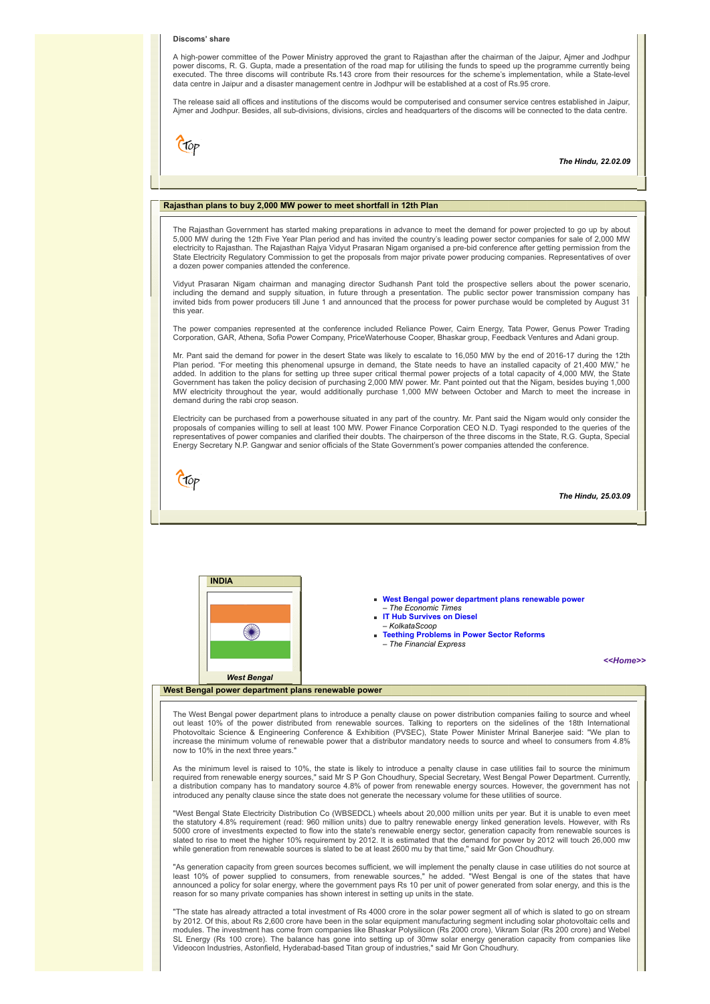#### **Discoms' share**

A high-power committee of the Power Ministry approved the grant to Rajasthan after the chairman of the Jaipur, Ajmer and Jodhpur power discoms, R. G. Gupta, made a presentation of the road map for utilising the funds to speed up the programme currently being executed. The three discoms will contribute Rs.143 crore from their resources for the scheme's implementation, while a State-level data centre in Jaipur and a disaster management centre in Jodhpur will be established at a cost of Rs.95 crore.

The release said all offices and institutions of the discoms would be computerised and consumer service centres established in Jaipur, Ajmer and Jodhpur. Besides, all sub-divisions, divisions, circles and headquarters of the discoms will be connected to the data centre.



*The Hindu, 22.02.09*

## <span id="page-4-0"></span>**Rajasthan plans to buy 2,000 MW power to meet shortfall in 12th Plan**

The Rajasthan Government has started making preparations in advance to meet the demand for power projected to go up by about 5,000 MW during the 12th Five Year Plan period and has invited the country's leading power sector companies for sale of 2,000 MW electricity to Rajasthan. The Rajasthan Rajya Vidyut Prasaran Nigam organised a pre-bid conference after getting permission from the State Electricity Regulatory Commission to get the proposals from major private power producing companies. Representatives of over a dozen power companies attended the conference.

Vidyut Prasaran Nigam chairman and managing director Sudhansh Pant told the prospective sellers about the power scenario, including the demand and supply situation, in future through a presentation. The public sector power transmission company has<br>invited bids from power producers till June 1 and announced that the process for power purchase this year.

The power companies represented at the conference included Reliance Power, Cairn Energy, Tata Power, Genus Power Trading Corporation, GAR, Athena, Sofia Power Company, PriceWaterhouse Cooper, Bhaskar group, Feedback Ventures and Adani group.

Mr. Pant said the demand for power in the desert State was likely to escalate to 16,050 MW by the end of 2016-17 during the 12th Plan period. "For meeting this phenomenal upsurge in demand, the State needs to have an installed capacity of 21,400 MW," he added. In addition to the plans for setting up three super critical thermal power projects of a total capacity of 4,000 MW, the State<br>Government has taken the policy decision of purchasing 2,000 MW power. Mr. Pant pointed demand during the rabi crop season.

Electricity can be purchased from a powerhouse situated in any part of the country. Mr. Pant said the Nigam would only consider the proposals of companies willing to sell at least 100 MW. Power Finance Corporation CEO N.D. Tyagi responded to the queries of the<br>representatives of power companies and clarified their doubts. The chairperson of the three d Energy Secretary N.P. Gangwar and senior officials of the State Government's power companies attended the conference.



*The Hindu, 25.03.09*



<span id="page-4-1"></span>The West Bengal power department plans to introduce a penalty clause on power distribution companies failing to source and wheel<br>out least 10% of the power distributed from renewable sources. Talking to reporters on the si Photovoltaic Science & Engineering Conference & Exhibition (PVSEC), State Power Minister Mrinal Banerjee said: "We plan to increase the minimum volume of renewable power that a distributor mandatory needs to source and wheel to consumers from 4.8% now to 10% in the next three years.

As the minimum level is raised to 10%, the state is likely to introduce a penalty clause in case utilities fail to source the minimum<br>required from renewable energy sources," said Mr S P Gon Choudhury, Special Secretary, W introduced any penalty clause since the state does not generate the necessary volume for these utilities of source.

"West Bengal State Electricity Distribution Co (WBSEDCL) wheels about 20,000 million units per year. But it is unable to even meet the statutory 4.8% requirement (read: 960 million units) due to paltry renewable energy linked generation levels. However, with Rs 5000 crore of investments expected to flow into the state's renewable energy sector, generation capacity from renewable sources is<br>slated to rise to meet the higher 10% requirement by 2012. It is estimated that the demand while generation from renewable sources is slated to be at least 2600 mu by that time," said Mr Gon Choudhury.

"As generation capacity from green sources becomes sufficient, we will implement the penalty clause in case utilities do not source at<br>least 10% of power supplied to consumers, from renewable sources," he added. "West Beng announced a policy for solar energy, where the government pays Rs 10 per unit of power generated from solar energy, and this is the<br>reason for so many private companies has shown interest in setting up units in the state.

"The state has already attracted a total investment of Rs 4000 crore in the solar power segment all of which is slated to go on stream<br>by 2012. Of this, about Rs 2,600 crore have been in the solar equipment manufacturing s modules. The investment has come from companies like Bhaskar Polysilicon (Rs 2000 crore), Vikram Solar (Rs 200 crore) and Webel<br>SL Energy (Rs 100 crore). The balance has gone into setting up of 30mw solar energy generation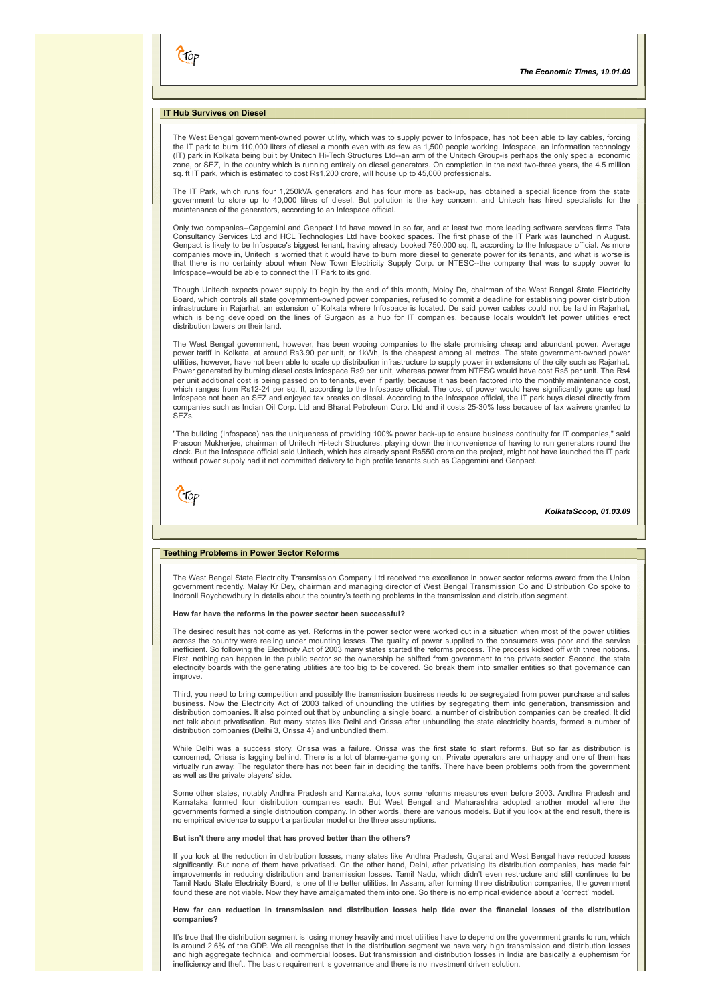## <span id="page-5-0"></span>**IT Hub Survives on Diesel**

(Top

The West Bengal government-owned power utility, which was to supply power to Infospace, has not been able to lay cables, forcing the IT park to burn 110,000 liters of diesel a month even with as few as 1,500 people working. Infospace, an information technology (IT) park in Kolkata being built by Unitech Hi-Tech Structures Ltd--an arm of the Unitech Group-is perhaps the only special economic zone, or SEZ, in the country which is running entirely on diesel generators. On completion in the next two-three years, the 4.5 million sq. ft IT park, which is estimated to cost Rs1,200 crore, will house up to 45,000 professionals.

The IT Park, which runs four 1,250kVA generators and has four more as back-up, has obtained a special licence from the state government to store up to 40,000 litres of diesel. But pollution is the key concern, and Unitech has hired specialists for the maintenance of the generators, according to an Infospace official.

Only two companies--Capgemini and Genpact Ltd have moved in so far, and at least two more leading software services firms Tata Consultancy Services Ltd and HCL Technologies Ltd have booked spaces. The first phase of the IT Park was launched in August.<br>Genpact is likely to be Infospace's biggest tenant, having already booked 750,000 sq. ft, accordi that there is no certainty about when New Town Electricity Supply Corp. or NTESC--the company that was to supply power to Infospace--would be able to connect the IT Park to its grid.

Though Unitech expects power supply to begin by the end of this month, Moloy De, chairman of the West Bengal State Electricity Board, which controls all state government-owned power companies, refused to commit a deadline for establishing power distribution<br>infrastructure in Rajarhat, an extension of Kolkata where Infospace is located. De said pow which is being developed on the lines of Gurgaon as a hub for IT companies, because locals wouldn't let power utilities erect distribution towers on their land.

The West Bengal government, however, has been wooing companies to the state promising cheap and abundant power. Average power tariff in Kolkata, at around Rs3.90 per unit, or 1kWh, is the cheapest among all metros. The state government-owned power<br>utilities, however, have not been able to scale up distribution infrastructure to supply power Power generated by burning diesel costs Infospace Rs9 per unit, whereas power from NTESC would have cost Rs5 per unit. The Rs4 per unit additional cost is being passed on to tenants, even if partly, because it has been factored into the monthly maintenance cost,<br>which ranges from Rs12-24 per sq. ft, according to the Infospace official. The cost of Infospace not been an SEZ and enjoyed tax breaks on diesel. According to the Infospace official, the IT park buys diesel directly from companies such as Indian Oil Corp. Ltd and Bharat Petroleum Corp. Ltd and it costs 25-30% less because of tax waivers granted to SEZs.

"The building (Infospace) has the uniqueness of providing 100% power back-up to ensure business continuity for IT companies," said Prasoon Mukherjee, chairman of Unitech Hi-tech Structures, playing down the inconvenience of having to run generators round the<br>clock. But the Infospace official said Unitech, which has already spent Rs550 crore on the pro without power supply had it not committed delivery to high profile tenants such as Capgemini and Genpact.

Ctop

## *KolkataScoop, 01.03.09*

## <span id="page-5-1"></span>**Teething Problems in Power Sector Reforms**

The West Bengal State Electricity Transmission Company Ltd received the excellence in power sector reforms award from the Union<br>government recently. Malay Kr Dey, chairman and managing director of West Bengal Transmission Indronil Roychowdhury in details about the country's teething problems in the transmission and distribution segment.

#### **How far have the reforms in the power sector been successful?**

The desired result has not come as yet. Reforms in the power sector were worked out in a situation when most of the power utilities across the country were reeling under mounting losses. The quality of power supplied to the consumers was poor and the service<br>inefficient. So following the Electricity Act of 2003 many states started the reforms process. First, nothing can happen in the public sector so the ownership be shifted from government to the private sector. Second, the state electricity boards with the generating utilities are too big to be covered. So break them into smaller entities so that governance can improve.

Third, you need to bring competition and possibly the transmission business needs to be segregated from power purchase and sales<br>business. Now the Electricity Act of 2003 talked of unbundling the utilities by segregating t distribution companies. It also pointed out that by unbundling a single board, a number of distribution companies can be created. It did not talk about privatisation. But many states like Delhi and Orissa after unbundling the state electricity boards, formed a number of distribution companies (Delhi 3, Orissa 4) and unbundled them.

While Delhi was a success story, Orissa was a failure. Orissa was the first state to start reforms. But so far as distribution is<br>concerned, Orissa is lagging behind. There is a lot of blame-game going on. Private operator as well as the private players' side.

Some other states, notably Andhra Pradesh and Karnataka, took some reforms measures even before 2003. Andhra Pradesh and Karnataka formed four distribution companies each. But West Bengal and Maharashtra adopted another model where the governments formed a single distribution company. In other words, there are various models. But if you look at the end result, there is no empirical evidence to support a particular model or the three assumptions.

#### **But isn't there any model that has proved better than the others?**

If you look at the reduction in distribution losses, many states like Andhra Pradesh, Gujarat and West Bengal have reduced losses significantly. But none of them have privatised. On the other hand, Delhi, after privatising its distribution companies, has made fair<br>improvements in reducing distribution and transmission losses. Tamil Nadu, which didn't Tamil Nadu State Electricity Board, is one of the better utilities. In Assam, after forming three distribution companies, the government found these are not viable. Now they have amalgamated them into one. So there is no empirical evidence about a 'correct' model.

#### **How far can reduction in transmission and distribution losses help tide over the financial losses of the distribution companies?**

It's true that the distribution segment is losing money heavily and most utilities have to depend on the government grants to run, which is around 2.6% of the GDP. We all recognise that in the distribution segment we have very high transmission and distribution losses and high aggregate technical and commercial looses. But transmission and distribution losses in India are basically a euphemism for inefficiency and theft. The basic requirement is governance and there is no investment driven solution.